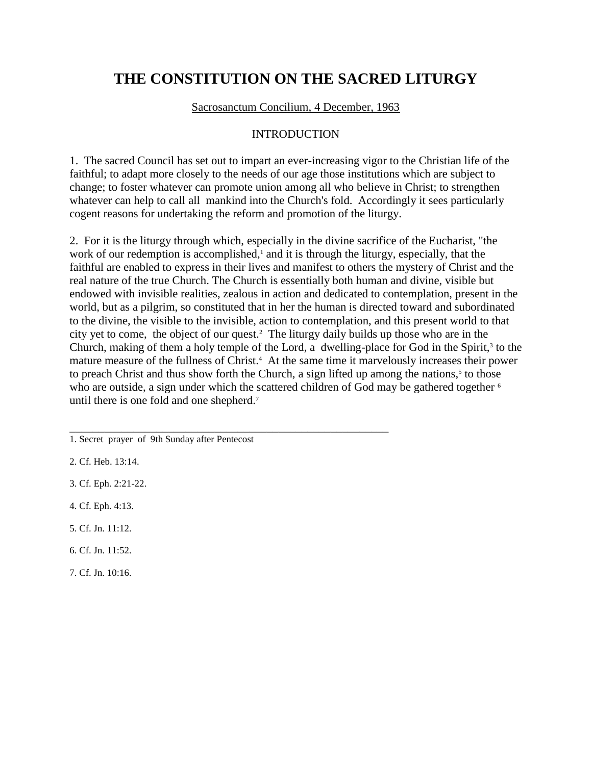# **THE CONSTITUTION ON THE SACRED LITURGY**

Sacrosanctum Concilium, 4 December, 1963

#### INTRODUCTION

1. The sacred Council has set out to impart an ever-increasing vigor to the Christian life of the faithful; to adapt more closely to the needs of our age those institutions which are subject to change; to foster whatever can promote union among all who believe in Christ; to strengthen whatever can help to call all mankind into the Church's fold. Accordingly it sees particularly cogent reasons for undertaking the reform and promotion of the liturgy.

2. For it is the liturgy through which, especially in the divine sacrifice of the Eucharist, "the work of our redemption is accomplished, $1$  and it is through the liturgy, especially, that the faithful are enabled to express in their lives and manifest to others the mystery of Christ and the real nature of the true Church. The Church is essentially both human and divine, visible but endowed with invisible realities, zealous in action and dedicated to contemplation, present in the world, but as a pilgrim, so constituted that in her the human is directed toward and subordinated to the divine, the visible to the invisible, action to contemplation, and this present world to that city yet to come, the object of our quest.<sup>2</sup> The liturgy daily builds up those who are in the Church, making of them a holy temple of the Lord, a dwelling-place for God in the Spirit,<sup>3</sup> to the mature measure of the fullness of Christ.<sup>4</sup> At the same time it marvelously increases their power to preach Christ and thus show forth the Church, a sign lifted up among the nations,<sup>5</sup> to those who are outside, a sign under which the scattered children of God may be gathered together <sup>6</sup> until there is one fold and one shepherd.<sup>7</sup>

\_\_\_\_\_\_\_\_\_\_\_\_\_\_\_\_\_\_\_\_\_\_\_\_\_\_\_\_\_\_\_\_\_\_\_\_\_\_\_\_\_\_\_\_\_\_\_\_\_\_\_\_\_\_\_

- 2. Cf. Heb. 13:14.
- 3. Cf. Eph. 2:21-22.
- 4. Cf. Eph. 4:13.
- 5. Cf. Jn. 11:12.
- 6. Cf. Jn. 11:52.
- 7. Cf. Jn. 10:16.

<sup>1.</sup> Secret prayer of 9th Sunday after Pentecost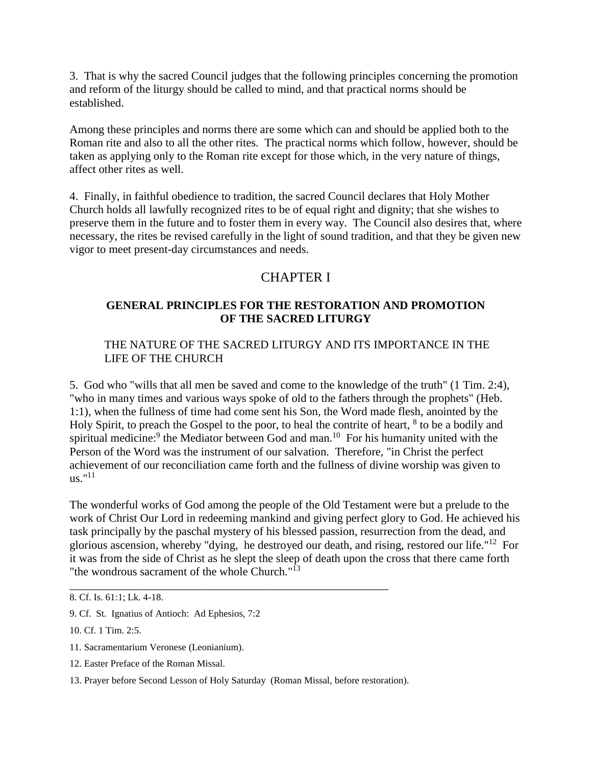3. That is why the sacred Council judges that the following principles concerning the promotion and reform of the liturgy should be called to mind, and that practical norms should be established.

Among these principles and norms there are some which can and should be applied both to the Roman rite and also to all the other rites. The practical norms which follow, however, should be taken as applying only to the Roman rite except for those which, in the very nature of things, affect other rites as well.

4. Finally, in faithful obedience to tradition, the sacred Council declares that Holy Mother Church holds all lawfully recognized rites to be of equal right and dignity; that she wishes to preserve them in the future and to foster them in every way. The Council also desires that, where necessary, the rites be revised carefully in the light of sound tradition, and that they be given new vigor to meet present-day circumstances and needs.

# CHAPTER I

# **GENERAL PRINCIPLES FOR THE RESTORATION AND PROMOTION OF THE SACRED LITURGY**

### THE NATURE OF THE SACRED LITURGY AND ITS IMPORTANCE IN THE LIFE OF THE CHURCH

5. God who "wills that all men be saved and come to the knowledge of the truth" (1 Tim. 2:4), "who in many times and various ways spoke of old to the fathers through the prophets" (Heb. 1:1), when the fullness of time had come sent his Son, the Word made flesh, anointed by the Holy Spirit, to preach the Gospel to the poor, to heal the contrite of heart, <sup>8</sup> to be a bodily and spiritual medicine:<sup>9</sup> the Mediator between God and man.<sup>10</sup> For his humanity united with the Person of the Word was the instrument of our salvation. Therefore, "in Christ the perfect achievement of our reconciliation came forth and the fullness of divine worship was given to  $us.$ "<sup>11</sup>

The wonderful works of God among the people of the Old Testament were but a prelude to the work of Christ Our Lord in redeeming mankind and giving perfect glory to God. He achieved his task principally by the paschal mystery of his blessed passion, resurrection from the dead, and glorious ascension, whereby "dying, he destroyed our death, and rising, restored our life."<sup>12</sup> For it was from the side of Christ as he slept the sleep of death upon the cross that there came forth "the wondrous sacrament of the whole Church."<sup>13</sup>

9. Cf. St. Ignatius of Antioch: Ad Ephesios, 7:2

- 11. Sacramentarium Veronese (Leonianium).
- 12. Easter Preface of the Roman Missal.
- 13. Prayer before Second Lesson of Holy Saturday (Roman Missal, before restoration).

\_\_\_\_\_\_\_\_\_\_\_\_\_\_\_\_\_\_\_\_\_\_\_\_\_\_\_\_\_\_\_\_\_\_\_\_\_\_\_\_\_\_\_\_\_\_\_\_\_\_\_\_\_\_\_

<sup>8.</sup> Cf. Is. 61:1; Lk. 4-18.

<sup>10.</sup> Cf. 1 Tim. 2:5.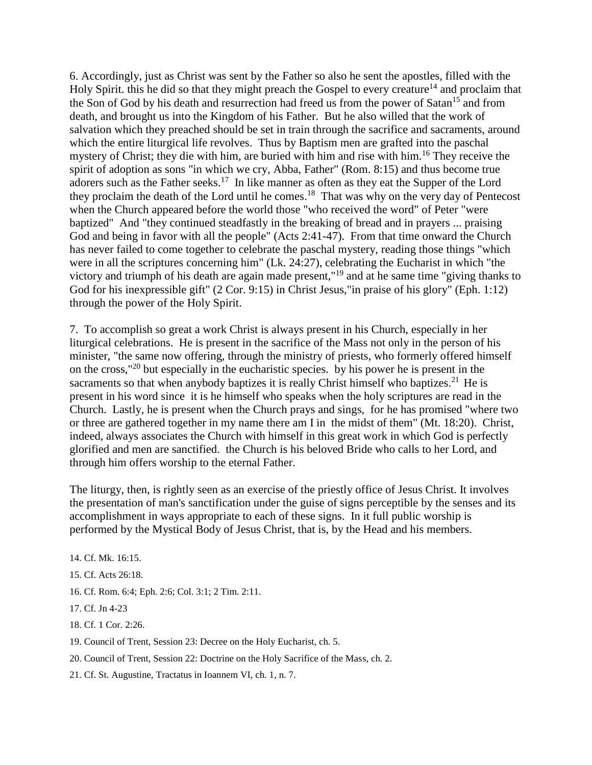6. Accordingly, just as Christ was sent by the Father so also he sent the apostles, filled with the Holy Spirit, this he did so that they might preach the Gospel to every creature<sup>14</sup> and proclaim that the Son of God by his death and resurrection had freed us from the power of Satan<sup>15</sup> and from death, and brought us into the Kingdom of his Father. But he also willed that the work of salvation which they preached should be set in train through the sacrifice and sacraments, around which the entire liturgical life revolves. Thus by Baptism men are grafted into the paschal mystery of Christ; they die with him, are buried with him and rise with him.<sup>16</sup> They receive the spirit of adoption as sons "in which we cry, Abba, Father" (Rom. 8:15) and thus become true adorers such as the Father seeks.<sup>17</sup> In like manner as often as they eat the Supper of the Lord they proclaim the death of the Lord until he comes.<sup>18</sup> That was why on the very day of Pentecost when the Church appeared before the world those "who received the word" of Peter "were baptized" And "they continued steadfastly in the breaking of bread and in prayers ... praising God and being in favor with all the people" (Acts 2:41-47). From that time onward the Church has never failed to come together to celebrate the paschal mystery, reading those things "which were in all the scriptures concerning him" (Lk. 24:27), celebrating the Eucharist in which "the victory and triumph of his death are again made present,"<sup>19</sup> and at he same time "giving thanks to God for his inexpressible gift" (2 Cor. 9:15) in Christ Jesus,"in praise of his glory" (Eph. 1:12) through the power of the Holy Spirit.

7. To accomplish so great a work Christ is always present in his Church, especially in her liturgical celebrations. He is present in the sacrifice of the Mass not only in the person of his minister, "the same now offering, through the ministry of priests, who formerly offered himself on the cross,"<sup>20</sup> but especially in the eucharistic species. by his power he is present in the sacraments so that when anybody baptizes it is really Christ himself who baptizes.<sup>21</sup> He is present in his word since it is he himself who speaks when the holy scriptures are read in the Church. Lastly, he is present when the Church prays and sings, for he has promised "where two or three are gathered together in my name there am I in the midst of them" (Mt. 18:20). Christ, indeed, always associates the Church with himself in this great work in which God is perfectly glorified and men are sanctified. the Church is his beloved Bride who calls to her Lord, and through him offers worship to the eternal Father.

The liturgy, then, is rightly seen as an exercise of the priestly office of Jesus Christ. It involves the presentation of man's sanctification under the guise of signs perceptible by the senses and its accomplishment in ways appropriate to each of these signs. In it full public worship is performed by the Mystical Body of Jesus Christ, that is, by the Head and his members.

14. Cf. Mk. 16:15. 15. Cf. Acts 26:18. 16. Cf. Rom. 6:4; Eph. 2:6; Col. 3:1; 2 Tim. 2:11. 17. Cf. Jn 4-23 18. Cf. 1 Cor. 2:26. 19. Council of Trent, Session 23: Decree on the Holy Eucharist, ch. 5. 20. Council of Trent, Session 22: Doctrine on the Holy Sacrifice of the Mass, ch. 2.

21. Cf. St. Augustine, Tractatus in Ioannem VI, ch. 1, n. 7.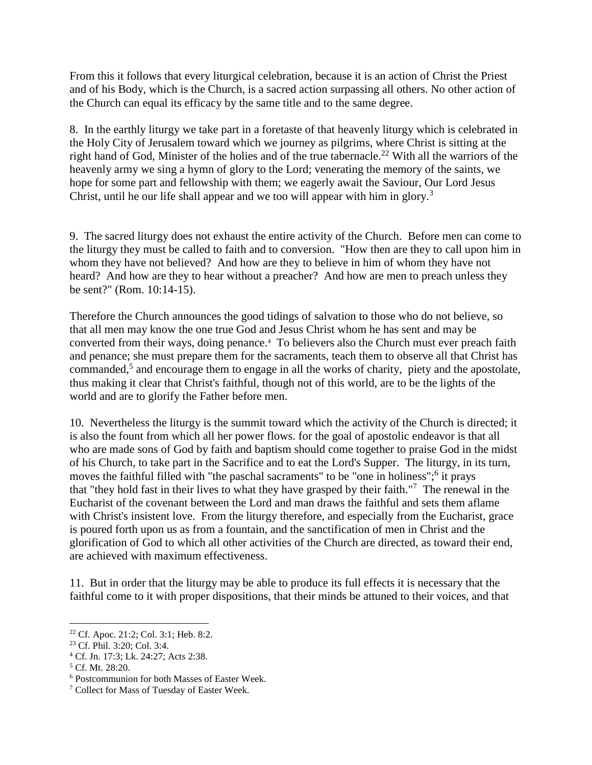From this it follows that every liturgical celebration, because it is an action of Christ the Priest and of his Body, which is the Church, is a sacred action surpassing all others. No other action of the Church can equal its efficacy by the same title and to the same degree.

8. In the earthly liturgy we take part in a foretaste of that heavenly liturgy which is celebrated in the Holy City of Jerusalem toward which we journey as pilgrims, where Christ is sitting at the right hand of God, Minister of the holies and of the true tabernacle.<sup>22</sup> With all the warriors of the heavenly army we sing a hymn of glory to the Lord; venerating the memory of the saints, we hope for some part and fellowship with them; we eagerly await the Saviour, Our Lord Jesus Christ, until he our life shall appear and we too will appear with him in glory.<sup>3</sup>

9. The sacred liturgy does not exhaust the entire activity of the Church. Before men can come to the liturgy they must be called to faith and to conversion. "How then are they to call upon him in whom they have not believed? And how are they to believe in him of whom they have not heard? And how are they to hear without a preacher? And how are men to preach unless they be sent?" (Rom. 10:14-15).

Therefore the Church announces the good tidings of salvation to those who do not believe, so that all men may know the one true God and Jesus Christ whom he has sent and may be converted from their ways, doing penance.<sup>4</sup> To believers also the Church must ever preach faith and penance; she must prepare them for the sacraments, teach them to observe all that Christ has commanded,<sup>5</sup> and encourage them to engage in all the works of charity, piety and the apostolate, thus making it clear that Christ's faithful, though not of this world, are to be the lights of the world and are to glorify the Father before men.

10. Nevertheless the liturgy is the summit toward which the activity of the Church is directed; it is also the fount from which all her power flows. for the goal of apostolic endeavor is that all who are made sons of God by faith and baptism should come together to praise God in the midst of his Church, to take part in the Sacrifice and to eat the Lord's Supper. The liturgy, in its turn, moves the faithful filled with "the paschal sacraments" to be "one in holiness";<sup>6</sup> it prays that "they hold fast in their lives to what they have grasped by their faith."<sup>7</sup> The renewal in the Eucharist of the covenant between the Lord and man draws the faithful and sets them aflame with Christ's insistent love. From the liturgy therefore, and especially from the Eucharist, grace is poured forth upon us as from a fountain, and the sanctification of men in Christ and the glorification of God to which all other activities of the Church are directed, as toward their end, are achieved with maximum effectiveness.

11. But in order that the liturgy may be able to produce its full effects it is necessary that the faithful come to it with proper dispositions, that their minds be attuned to their voices, and that

<sup>4</sup> Cf. Jn. 17:3; Lk. 24:27; Acts 2:38.

<sup>22</sup> Cf. Apoc. 21:2; Col. 3:1; Heb. 8:2.

<sup>23</sup> Cf. Phil. 3:20; Col. 3:4.

<sup>5</sup> Cf. Mt. 28:20.

<sup>6</sup> Postcommunion for both Masses of Easter Week.

<sup>7</sup> Collect for Mass of Tuesday of Easter Week.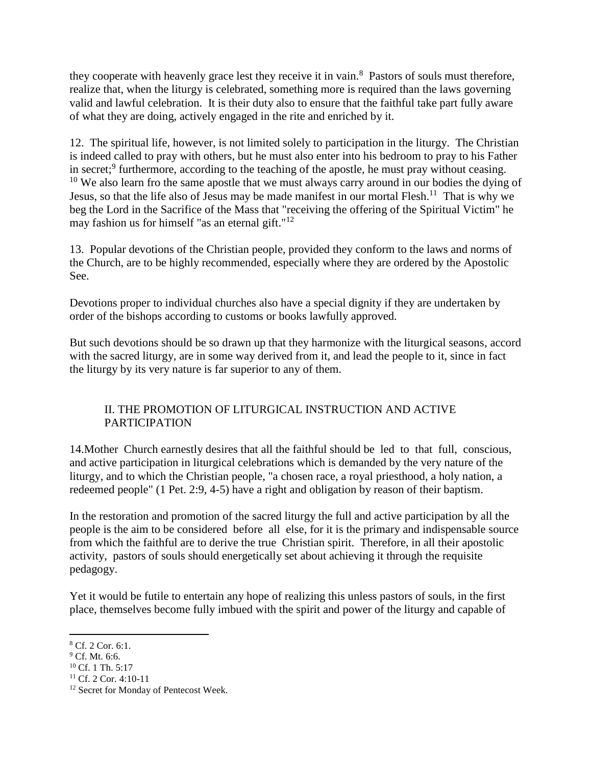they cooperate with heavenly grace lest they receive it in vain.<sup>8</sup> Pastors of souls must therefore, realize that, when the liturgy is celebrated, something more is required than the laws governing valid and lawful celebration. It is their duty also to ensure that the faithful take part fully aware of what they are doing, actively engaged in the rite and enriched by it.

12. The spiritual life, however, is not limited solely to participation in the liturgy. The Christian is indeed called to pray with others, but he must also enter into his bedroom to pray to his Father in secret;<sup>9</sup> furthermore, according to the teaching of the apostle, he must pray without ceasing.  $10$  We also learn fro the same apostle that we must always carry around in our bodies the dying of Jesus, so that the life also of Jesus may be made manifest in our mortal Flesh.<sup>11</sup> That is why we beg the Lord in the Sacrifice of the Mass that "receiving the offering of the Spiritual Victim" he may fashion us for himself "as an eternal gift."<sup>12</sup>

13. Popular devotions of the Christian people, provided they conform to the laws and norms of the Church, are to be highly recommended, especially where they are ordered by the Apostolic See.

Devotions proper to individual churches also have a special dignity if they are undertaken by order of the bishops according to customs or books lawfully approved.

But such devotions should be so drawn up that they harmonize with the liturgical seasons, accord with the sacred liturgy, are in some way derived from it, and lead the people to it, since in fact the liturgy by its very nature is far superior to any of them.

# II. THE PROMOTION OF LITURGICAL INSTRUCTION AND ACTIVE PARTICIPATION

14.Mother Church earnestly desires that all the faithful should be led to that full, conscious, and active participation in liturgical celebrations which is demanded by the very nature of the liturgy, and to which the Christian people, "a chosen race, a royal priesthood, a holy nation, a redeemed people" (1 Pet. 2:9, 4-5) have a right and obligation by reason of their baptism.

In the restoration and promotion of the sacred liturgy the full and active participation by all the people is the aim to be considered before all else, for it is the primary and indispensable source from which the faithful are to derive the true Christian spirit. Therefore, in all their apostolic activity, pastors of souls should energetically set about achieving it through the requisite pedagogy.

Yet it would be futile to entertain any hope of realizing this unless pastors of souls, in the first place, themselves become fully imbued with the spirit and power of the liturgy and capable of

<sup>8</sup> Cf. 2 Cor. 6:1.

 $^{9}$  Cf. Mt. 6:6.

<sup>10</sup> Cf. 1 Th. 5:17

<sup>11</sup> Cf. 2 Cor. 4:10-11

<sup>&</sup>lt;sup>12</sup> Secret for Monday of Pentecost Week.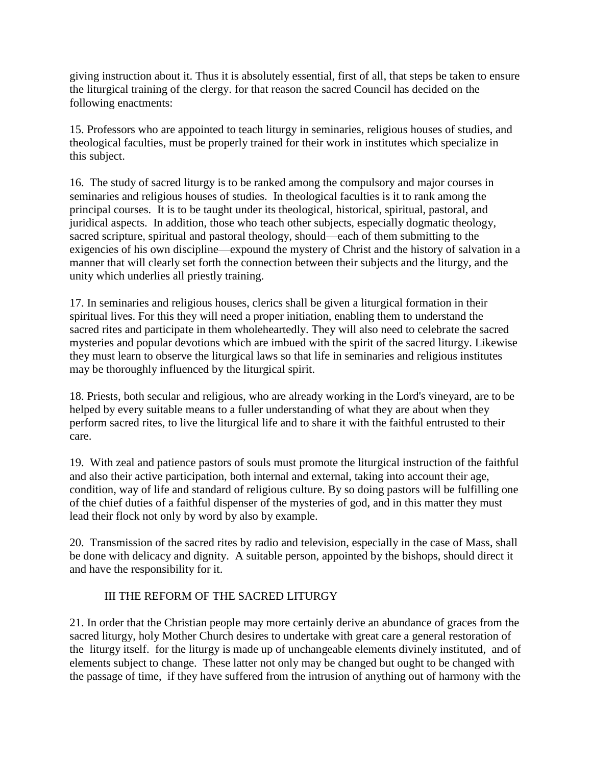giving instruction about it. Thus it is absolutely essential, first of all, that steps be taken to ensure the liturgical training of the clergy. for that reason the sacred Council has decided on the following enactments:

15. Professors who are appointed to teach liturgy in seminaries, religious houses of studies, and theological faculties, must be properly trained for their work in institutes which specialize in this subject.

16. The study of sacred liturgy is to be ranked among the compulsory and major courses in seminaries and religious houses of studies. In theological faculties is it to rank among the principal courses. It is to be taught under its theological, historical, spiritual, pastoral, and juridical aspects. In addition, those who teach other subjects, especially dogmatic theology, sacred scripture, spiritual and pastoral theology, should—each of them submitting to the exigencies of his own discipline—expound the mystery of Christ and the history of salvation in a manner that will clearly set forth the connection between their subjects and the liturgy, and the unity which underlies all priestly training.

17. In seminaries and religious houses, clerics shall be given a liturgical formation in their spiritual lives. For this they will need a proper initiation, enabling them to understand the sacred rites and participate in them wholeheartedly. They will also need to celebrate the sacred mysteries and popular devotions which are imbued with the spirit of the sacred liturgy. Likewise they must learn to observe the liturgical laws so that life in seminaries and religious institutes may be thoroughly influenced by the liturgical spirit.

18. Priests, both secular and religious, who are already working in the Lord's vineyard, are to be helped by every suitable means to a fuller understanding of what they are about when they perform sacred rites, to live the liturgical life and to share it with the faithful entrusted to their care.

19. With zeal and patience pastors of souls must promote the liturgical instruction of the faithful and also their active participation, both internal and external, taking into account their age, condition, way of life and standard of religious culture. By so doing pastors will be fulfilling one of the chief duties of a faithful dispenser of the mysteries of god, and in this matter they must lead their flock not only by word by also by example.

20. Transmission of the sacred rites by radio and television, especially in the case of Mass, shall be done with delicacy and dignity. A suitable person, appointed by the bishops, should direct it and have the responsibility for it.

# III THE REFORM OF THE SACRED LITURGY

21. In order that the Christian people may more certainly derive an abundance of graces from the sacred liturgy, holy Mother Church desires to undertake with great care a general restoration of the liturgy itself. for the liturgy is made up of unchangeable elements divinely instituted, and of elements subject to change. These latter not only may be changed but ought to be changed with the passage of time, if they have suffered from the intrusion of anything out of harmony with the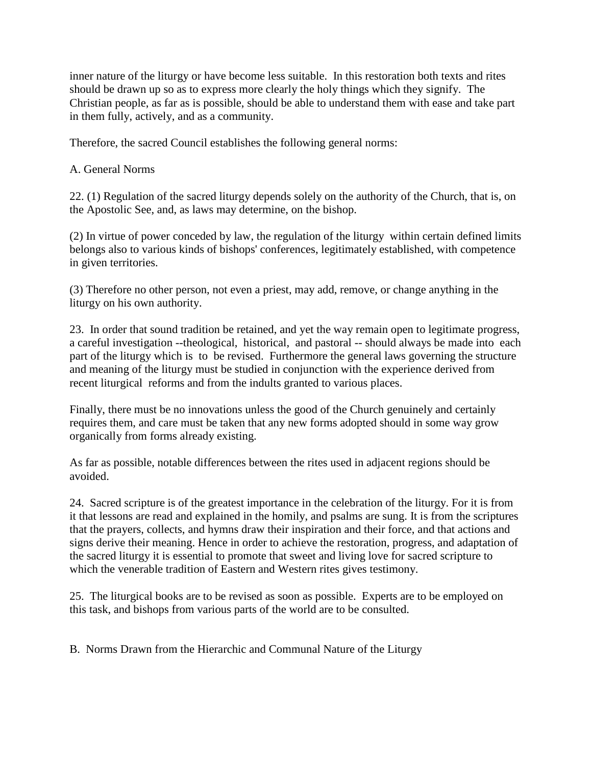inner nature of the liturgy or have become less suitable. In this restoration both texts and rites should be drawn up so as to express more clearly the holy things which they signify. The Christian people, as far as is possible, should be able to understand them with ease and take part in them fully, actively, and as a community.

Therefore, the sacred Council establishes the following general norms:

A. General Norms

22. (1) Regulation of the sacred liturgy depends solely on the authority of the Church, that is, on the Apostolic See, and, as laws may determine, on the bishop.

(2) In virtue of power conceded by law, the regulation of the liturgy within certain defined limits belongs also to various kinds of bishops' conferences, legitimately established, with competence in given territories.

(3) Therefore no other person, not even a priest, may add, remove, or change anything in the liturgy on his own authority.

23. In order that sound tradition be retained, and yet the way remain open to legitimate progress, a careful investigation --theological, historical, and pastoral -- should always be made into each part of the liturgy which is to be revised. Furthermore the general laws governing the structure and meaning of the liturgy must be studied in conjunction with the experience derived from recent liturgical reforms and from the indults granted to various places.

Finally, there must be no innovations unless the good of the Church genuinely and certainly requires them, and care must be taken that any new forms adopted should in some way grow organically from forms already existing.

As far as possible, notable differences between the rites used in adjacent regions should be avoided.

24. Sacred scripture is of the greatest importance in the celebration of the liturgy. For it is from it that lessons are read and explained in the homily, and psalms are sung. It is from the scriptures that the prayers, collects, and hymns draw their inspiration and their force, and that actions and signs derive their meaning. Hence in order to achieve the restoration, progress, and adaptation of the sacred liturgy it is essential to promote that sweet and living love for sacred scripture to which the venerable tradition of Eastern and Western rites gives testimony.

25. The liturgical books are to be revised as soon as possible. Experts are to be employed on this task, and bishops from various parts of the world are to be consulted.

B. Norms Drawn from the Hierarchic and Communal Nature of the Liturgy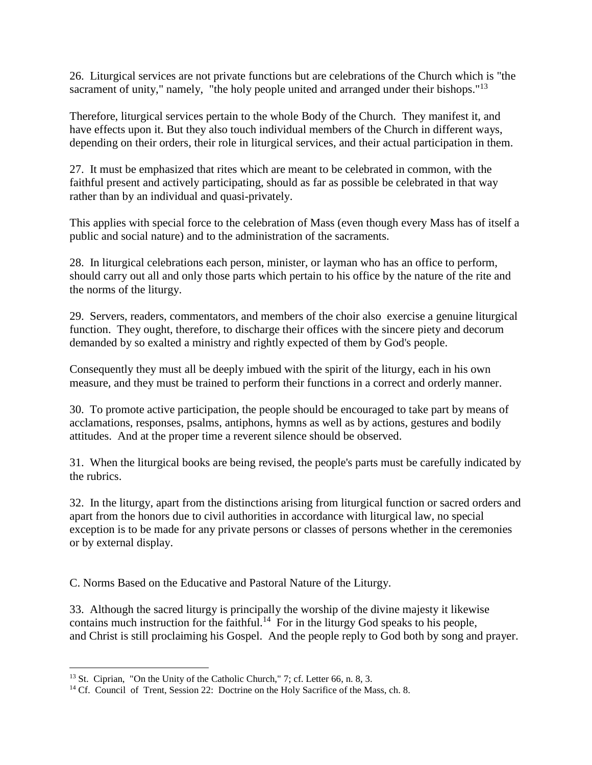26. Liturgical services are not private functions but are celebrations of the Church which is "the sacrament of unity," namely, "the holy people united and arranged under their bishops."<sup>13</sup>

Therefore, liturgical services pertain to the whole Body of the Church. They manifest it, and have effects upon it. But they also touch individual members of the Church in different ways, depending on their orders, their role in liturgical services, and their actual participation in them.

27. It must be emphasized that rites which are meant to be celebrated in common, with the faithful present and actively participating, should as far as possible be celebrated in that way rather than by an individual and quasi-privately.

This applies with special force to the celebration of Mass (even though every Mass has of itself a public and social nature) and to the administration of the sacraments.

28. In liturgical celebrations each person, minister, or layman who has an office to perform, should carry out all and only those parts which pertain to his office by the nature of the rite and the norms of the liturgy.

29. Servers, readers, commentators, and members of the choir also exercise a genuine liturgical function. They ought, therefore, to discharge their offices with the sincere piety and decorum demanded by so exalted a ministry and rightly expected of them by God's people.

Consequently they must all be deeply imbued with the spirit of the liturgy, each in his own measure, and they must be trained to perform their functions in a correct and orderly manner.

30. To promote active participation, the people should be encouraged to take part by means of acclamations, responses, psalms, antiphons, hymns as well as by actions, gestures and bodily attitudes. And at the proper time a reverent silence should be observed.

31. When the liturgical books are being revised, the people's parts must be carefully indicated by the rubrics.

32. In the liturgy, apart from the distinctions arising from liturgical function or sacred orders and apart from the honors due to civil authorities in accordance with liturgical law, no special exception is to be made for any private persons or classes of persons whether in the ceremonies or by external display.

C. Norms Based on the Educative and Pastoral Nature of the Liturgy.

33. Although the sacred liturgy is principally the worship of the divine majesty it likewise contains much instruction for the faithful.<sup>14</sup> For in the liturgy God speaks to his people, and Christ is still proclaiming his Gospel. And the people reply to God both by song and prayer.

<sup>&</sup>lt;sup>13</sup> St. Ciprian, "On the Unity of the Catholic Church," 7; cf. Letter 66, n. 8, 3.

<sup>&</sup>lt;sup>14</sup> Cf. Council of Trent, Session 22: Doctrine on the Holy Sacrifice of the Mass, ch. 8.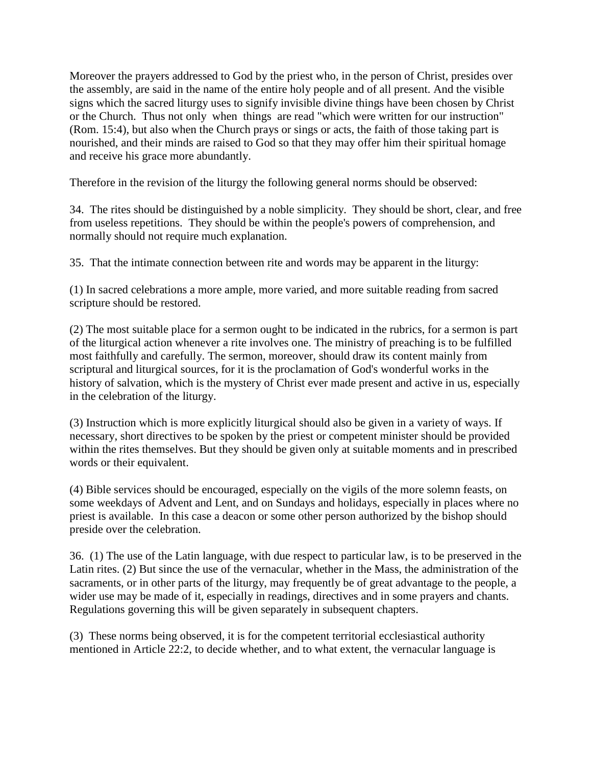Moreover the prayers addressed to God by the priest who, in the person of Christ, presides over the assembly, are said in the name of the entire holy people and of all present. And the visible signs which the sacred liturgy uses to signify invisible divine things have been chosen by Christ or the Church. Thus not only when things are read "which were written for our instruction" (Rom. 15:4), but also when the Church prays or sings or acts, the faith of those taking part is nourished, and their minds are raised to God so that they may offer him their spiritual homage and receive his grace more abundantly.

Therefore in the revision of the liturgy the following general norms should be observed:

34. The rites should be distinguished by a noble simplicity. They should be short, clear, and free from useless repetitions. They should be within the people's powers of comprehension, and normally should not require much explanation.

35. That the intimate connection between rite and words may be apparent in the liturgy:

(1) In sacred celebrations a more ample, more varied, and more suitable reading from sacred scripture should be restored.

(2) The most suitable place for a sermon ought to be indicated in the rubrics, for a sermon is part of the liturgical action whenever a rite involves one. The ministry of preaching is to be fulfilled most faithfully and carefully. The sermon, moreover, should draw its content mainly from scriptural and liturgical sources, for it is the proclamation of God's wonderful works in the history of salvation, which is the mystery of Christ ever made present and active in us, especially in the celebration of the liturgy.

(3) Instruction which is more explicitly liturgical should also be given in a variety of ways. If necessary, short directives to be spoken by the priest or competent minister should be provided within the rites themselves. But they should be given only at suitable moments and in prescribed words or their equivalent.

(4) Bible services should be encouraged, especially on the vigils of the more solemn feasts, on some weekdays of Advent and Lent, and on Sundays and holidays, especially in places where no priest is available. In this case a deacon or some other person authorized by the bishop should preside over the celebration.

36. (1) The use of the Latin language, with due respect to particular law, is to be preserved in the Latin rites. (2) But since the use of the vernacular, whether in the Mass, the administration of the sacraments, or in other parts of the liturgy, may frequently be of great advantage to the people, a wider use may be made of it, especially in readings, directives and in some prayers and chants. Regulations governing this will be given separately in subsequent chapters.

(3) These norms being observed, it is for the competent territorial ecclesiastical authority mentioned in Article 22:2, to decide whether, and to what extent, the vernacular language is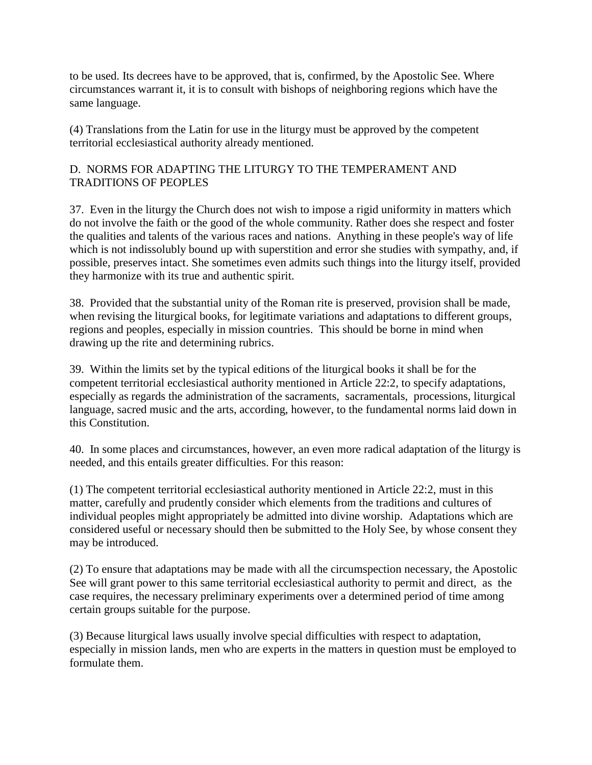to be used. Its decrees have to be approved, that is, confirmed, by the Apostolic See. Where circumstances warrant it, it is to consult with bishops of neighboring regions which have the same language.

(4) Translations from the Latin for use in the liturgy must be approved by the competent territorial ecclesiastical authority already mentioned.

## D. NORMS FOR ADAPTING THE LITURGY TO THE TEMPERAMENT AND TRADITIONS OF PEOPLES

37. Even in the liturgy the Church does not wish to impose a rigid uniformity in matters which do not involve the faith or the good of the whole community. Rather does she respect and foster the qualities and talents of the various races and nations. Anything in these people's way of life which is not indissolubly bound up with superstition and error she studies with sympathy, and, if possible, preserves intact. She sometimes even admits such things into the liturgy itself, provided they harmonize with its true and authentic spirit.

38. Provided that the substantial unity of the Roman rite is preserved, provision shall be made, when revising the liturgical books, for legitimate variations and adaptations to different groups, regions and peoples, especially in mission countries. This should be borne in mind when drawing up the rite and determining rubrics.

39. Within the limits set by the typical editions of the liturgical books it shall be for the competent territorial ecclesiastical authority mentioned in Article 22:2, to specify adaptations, especially as regards the administration of the sacraments, sacramentals, processions, liturgical language, sacred music and the arts, according, however, to the fundamental norms laid down in this Constitution.

40. In some places and circumstances, however, an even more radical adaptation of the liturgy is needed, and this entails greater difficulties. For this reason:

(1) The competent territorial ecclesiastical authority mentioned in Article 22:2, must in this matter, carefully and prudently consider which elements from the traditions and cultures of individual peoples might appropriately be admitted into divine worship. Adaptations which are considered useful or necessary should then be submitted to the Holy See, by whose consent they may be introduced.

(2) To ensure that adaptations may be made with all the circumspection necessary, the Apostolic See will grant power to this same territorial ecclesiastical authority to permit and direct, as the case requires, the necessary preliminary experiments over a determined period of time among certain groups suitable for the purpose.

(3) Because liturgical laws usually involve special difficulties with respect to adaptation, especially in mission lands, men who are experts in the matters in question must be employed to formulate them.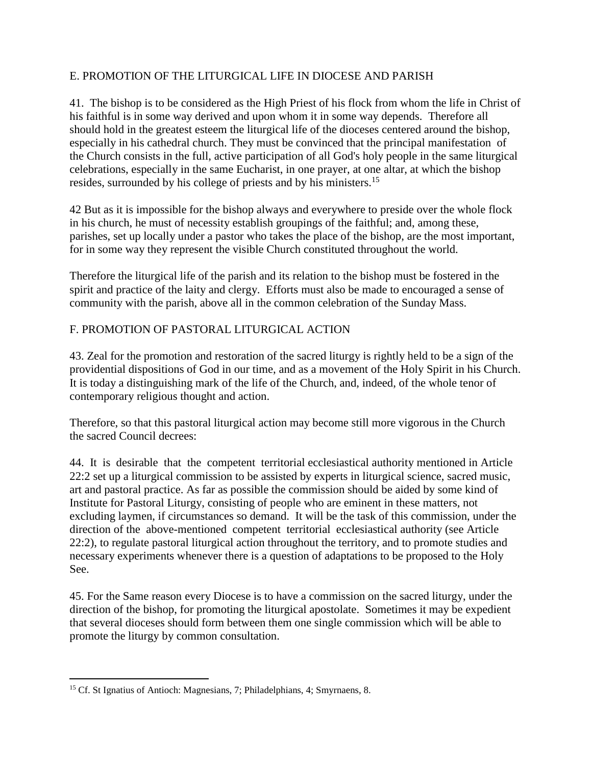#### E. PROMOTION OF THE LITURGICAL LIFE IN DIOCESE AND PARISH

41. The bishop is to be considered as the High Priest of his flock from whom the life in Christ of his faithful is in some way derived and upon whom it in some way depends. Therefore all should hold in the greatest esteem the liturgical life of the dioceses centered around the bishop, especially in his cathedral church. They must be convinced that the principal manifestation of the Church consists in the full, active participation of all God's holy people in the same liturgical celebrations, especially in the same Eucharist, in one prayer, at one altar, at which the bishop resides, surrounded by his college of priests and by his ministers.<sup>15</sup>

42 But as it is impossible for the bishop always and everywhere to preside over the whole flock in his church, he must of necessity establish groupings of the faithful; and, among these, parishes, set up locally under a pastor who takes the place of the bishop, are the most important, for in some way they represent the visible Church constituted throughout the world.

Therefore the liturgical life of the parish and its relation to the bishop must be fostered in the spirit and practice of the laity and clergy. Efforts must also be made to encouraged a sense of community with the parish, above all in the common celebration of the Sunday Mass.

#### F. PROMOTION OF PASTORAL LITURGICAL ACTION

43. Zeal for the promotion and restoration of the sacred liturgy is rightly held to be a sign of the providential dispositions of God in our time, and as a movement of the Holy Spirit in his Church. It is today a distinguishing mark of the life of the Church, and, indeed, of the whole tenor of contemporary religious thought and action.

Therefore, so that this pastoral liturgical action may become still more vigorous in the Church the sacred Council decrees:

44. It is desirable that the competent territorial ecclesiastical authority mentioned in Article 22:2 set up a liturgical commission to be assisted by experts in liturgical science, sacred music, art and pastoral practice. As far as possible the commission should be aided by some kind of Institute for Pastoral Liturgy, consisting of people who are eminent in these matters, not excluding laymen, if circumstances so demand. It will be the task of this commission, under the direction of the above-mentioned competent territorial ecclesiastical authority (see Article 22:2), to regulate pastoral liturgical action throughout the territory, and to promote studies and necessary experiments whenever there is a question of adaptations to be proposed to the Holy See.

45. For the Same reason every Diocese is to have a commission on the sacred liturgy, under the direction of the bishop, for promoting the liturgical apostolate. Sometimes it may be expedient that several dioceses should form between them one single commission which will be able to promote the liturgy by common consultation.

<sup>&</sup>lt;sup>15</sup> Cf. St Ignatius of Antioch: Magnesians, 7; Philadelphians, 4; Smyrnaens, 8.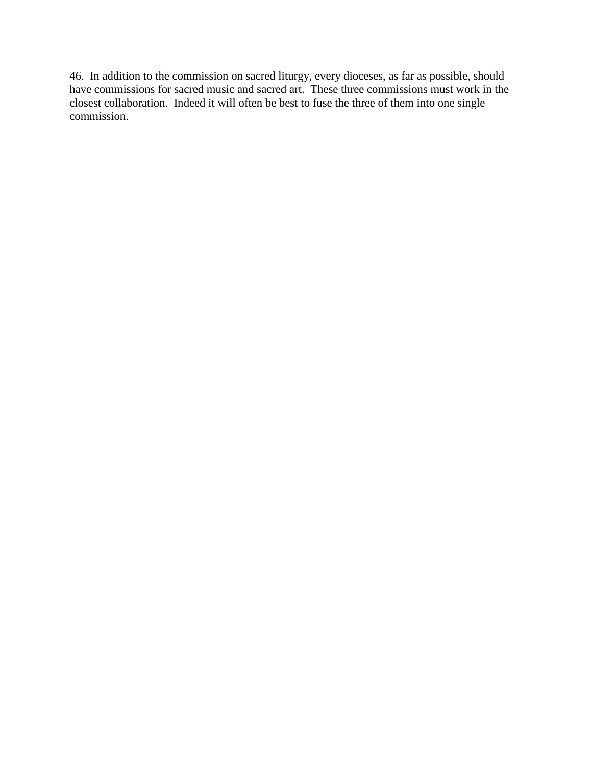46. In addition to the commission on sacred liturgy, every dioceses, as far as possible, should have commissions for sacred music and sacred art. These three commissions must work in the closest collaboration. Indeed it will often be best to fuse the three of them into one single commission.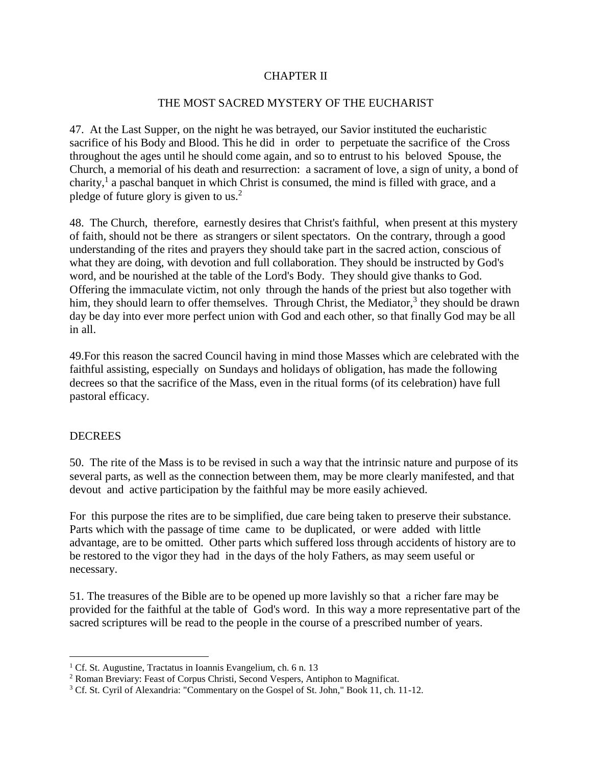#### CHAPTER II

#### THE MOST SACRED MYSTERY OF THE EUCHARIST

47. At the Last Supper, on the night he was betrayed, our Savior instituted the eucharistic sacrifice of his Body and Blood. This he did in order to perpetuate the sacrifice of the Cross throughout the ages until he should come again, and so to entrust to his beloved Spouse, the Church, a memorial of his death and resurrection: a sacrament of love, a sign of unity, a bond of charity,<sup>1</sup> a paschal banquet in which Christ is consumed, the mind is filled with grace, and a pledge of future glory is given to us.<sup>2</sup>

48. The Church, therefore, earnestly desires that Christ's faithful, when present at this mystery of faith, should not be there as strangers or silent spectators. On the contrary, through a good understanding of the rites and prayers they should take part in the sacred action, conscious of what they are doing, with devotion and full collaboration. They should be instructed by God's word, and be nourished at the table of the Lord's Body. They should give thanks to God. Offering the immaculate victim, not only through the hands of the priest but also together with him, they should learn to offer themselves. Through Christ, the Mediator, $3$  they should be drawn day be day into ever more perfect union with God and each other, so that finally God may be all in all.

49.For this reason the sacred Council having in mind those Masses which are celebrated with the faithful assisting, especially on Sundays and holidays of obligation, has made the following decrees so that the sacrifice of the Mass, even in the ritual forms (of its celebration) have full pastoral efficacy.

#### **DECREES**

 $\overline{a}$ 

50. The rite of the Mass is to be revised in such a way that the intrinsic nature and purpose of its several parts, as well as the connection between them, may be more clearly manifested, and that devout and active participation by the faithful may be more easily achieved.

For this purpose the rites are to be simplified, due care being taken to preserve their substance. Parts which with the passage of time came to be duplicated, or were added with little advantage, are to be omitted. Other parts which suffered loss through accidents of history are to be restored to the vigor they had in the days of the holy Fathers, as may seem useful or necessary.

51. The treasures of the Bible are to be opened up more lavishly so that a richer fare may be provided for the faithful at the table of God's word. In this way a more representative part of the sacred scriptures will be read to the people in the course of a prescribed number of years.

<sup>&</sup>lt;sup>1</sup> Cf. St. Augustine, Tractatus in Ioannis Evangelium, ch. 6 n. 13

<sup>2</sup> Roman Breviary: Feast of Corpus Christi, Second Vespers, Antiphon to Magnificat.

<sup>&</sup>lt;sup>3</sup> Cf. St. Cyril of Alexandria: "Commentary on the Gospel of St. John," Book 11, ch. 11-12.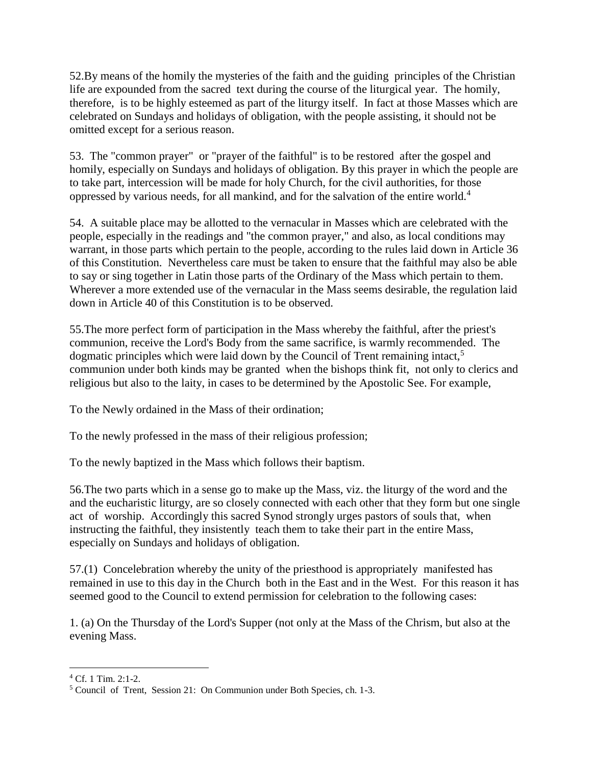52.By means of the homily the mysteries of the faith and the guiding principles of the Christian life are expounded from the sacred text during the course of the liturgical year. The homily, therefore, is to be highly esteemed as part of the liturgy itself. In fact at those Masses which are celebrated on Sundays and holidays of obligation, with the people assisting, it should not be omitted except for a serious reason.

53. The "common prayer" or "prayer of the faithful" is to be restored after the gospel and homily, especially on Sundays and holidays of obligation. By this prayer in which the people are to take part, intercession will be made for holy Church, for the civil authorities, for those oppressed by various needs, for all mankind, and for the salvation of the entire world.<sup>4</sup>

54. A suitable place may be allotted to the vernacular in Masses which are celebrated with the people, especially in the readings and "the common prayer," and also, as local conditions may warrant, in those parts which pertain to the people, according to the rules laid down in Article 36 of this Constitution. Nevertheless care must be taken to ensure that the faithful may also be able to say or sing together in Latin those parts of the Ordinary of the Mass which pertain to them. Wherever a more extended use of the vernacular in the Mass seems desirable, the regulation laid down in Article 40 of this Constitution is to be observed.

55.The more perfect form of participation in the Mass whereby the faithful, after the priest's communion, receive the Lord's Body from the same sacrifice, is warmly recommended. The dogmatic principles which were laid down by the Council of Trent remaining intact,<sup>5</sup> communion under both kinds may be granted when the bishops think fit, not only to clerics and religious but also to the laity, in cases to be determined by the Apostolic See. For example,

To the Newly ordained in the Mass of their ordination;

To the newly professed in the mass of their religious profession;

To the newly baptized in the Mass which follows their baptism.

56.The two parts which in a sense go to make up the Mass, viz. the liturgy of the word and the and the eucharistic liturgy, are so closely connected with each other that they form but one single act of worship. Accordingly this sacred Synod strongly urges pastors of souls that, when instructing the faithful, they insistently teach them to take their part in the entire Mass, especially on Sundays and holidays of obligation.

57.(1) Concelebration whereby the unity of the priesthood is appropriately manifested has remained in use to this day in the Church both in the East and in the West. For this reason it has seemed good to the Council to extend permission for celebration to the following cases:

1. (a) On the Thursday of the Lord's Supper (not only at the Mass of the Chrism, but also at the evening Mass.

 $4$  Cf. 1 Tim. 2:1-2.

<sup>5</sup> Council of Trent, Session 21: On Communion under Both Species, ch. 1-3.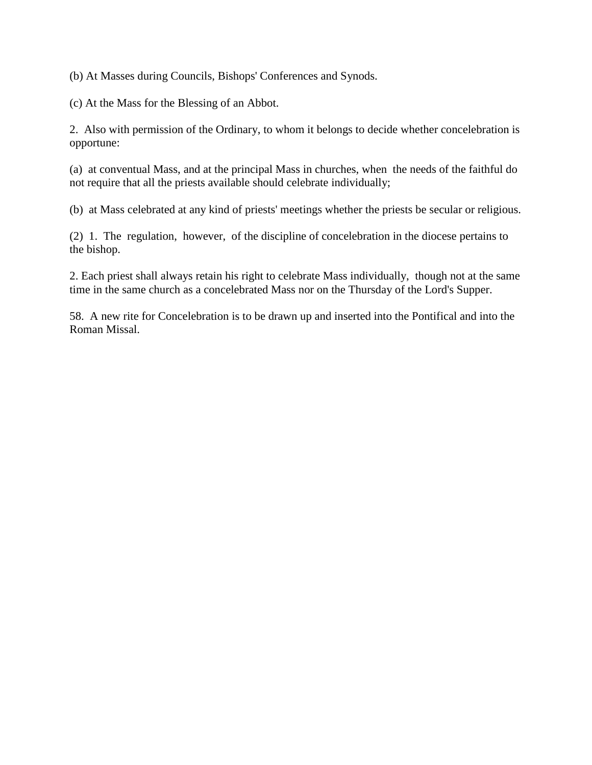(b) At Masses during Councils, Bishops' Conferences and Synods.

(c) At the Mass for the Blessing of an Abbot.

2. Also with permission of the Ordinary, to whom it belongs to decide whether concelebration is opportune:

(a) at conventual Mass, and at the principal Mass in churches, when the needs of the faithful do not require that all the priests available should celebrate individually;

(b) at Mass celebrated at any kind of priests' meetings whether the priests be secular or religious.

(2) 1. The regulation, however, of the discipline of concelebration in the diocese pertains to the bishop.

2. Each priest shall always retain his right to celebrate Mass individually, though not at the same time in the same church as a concelebrated Mass nor on the Thursday of the Lord's Supper.

58. A new rite for Concelebration is to be drawn up and inserted into the Pontifical and into the Roman Missal.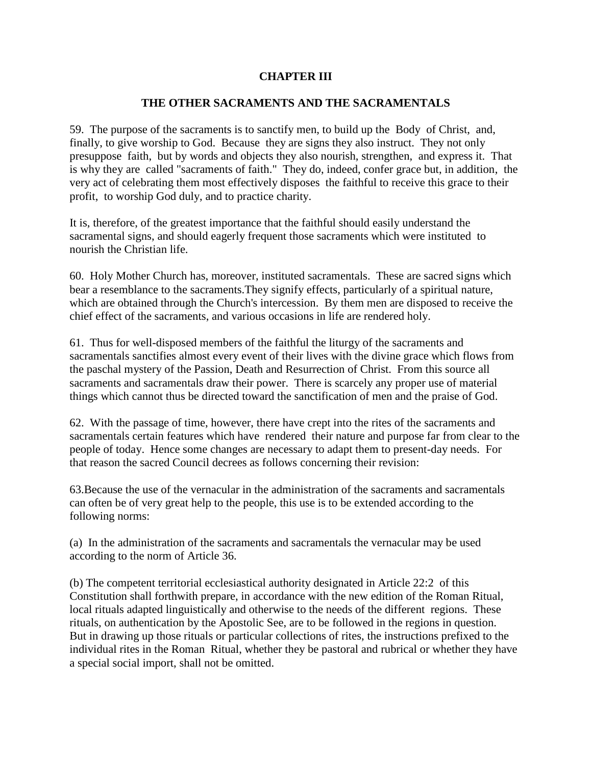#### **CHAPTER III**

#### **THE OTHER SACRAMENTS AND THE SACRAMENTALS**

59. The purpose of the sacraments is to sanctify men, to build up the Body of Christ, and, finally, to give worship to God. Because they are signs they also instruct. They not only presuppose faith, but by words and objects they also nourish, strengthen, and express it. That is why they are called "sacraments of faith." They do, indeed, confer grace but, in addition, the very act of celebrating them most effectively disposes the faithful to receive this grace to their profit, to worship God duly, and to practice charity.

It is, therefore, of the greatest importance that the faithful should easily understand the sacramental signs, and should eagerly frequent those sacraments which were instituted to nourish the Christian life.

60. Holy Mother Church has, moreover, instituted sacramentals. These are sacred signs which bear a resemblance to the sacraments.They signify effects, particularly of a spiritual nature, which are obtained through the Church's intercession. By them men are disposed to receive the chief effect of the sacraments, and various occasions in life are rendered holy.

61. Thus for well-disposed members of the faithful the liturgy of the sacraments and sacramentals sanctifies almost every event of their lives with the divine grace which flows from the paschal mystery of the Passion, Death and Resurrection of Christ. From this source all sacraments and sacramentals draw their power. There is scarcely any proper use of material things which cannot thus be directed toward the sanctification of men and the praise of God.

62. With the passage of time, however, there have crept into the rites of the sacraments and sacramentals certain features which have rendered their nature and purpose far from clear to the people of today. Hence some changes are necessary to adapt them to present-day needs. For that reason the sacred Council decrees as follows concerning their revision:

63.Because the use of the vernacular in the administration of the sacraments and sacramentals can often be of very great help to the people, this use is to be extended according to the following norms:

(a) In the administration of the sacraments and sacramentals the vernacular may be used according to the norm of Article 36.

(b) The competent territorial ecclesiastical authority designated in Article 22:2 of this Constitution shall forthwith prepare, in accordance with the new edition of the Roman Ritual, local rituals adapted linguistically and otherwise to the needs of the different regions. These rituals, on authentication by the Apostolic See, are to be followed in the regions in question. But in drawing up those rituals or particular collections of rites, the instructions prefixed to the individual rites in the Roman Ritual, whether they be pastoral and rubrical or whether they have a special social import, shall not be omitted.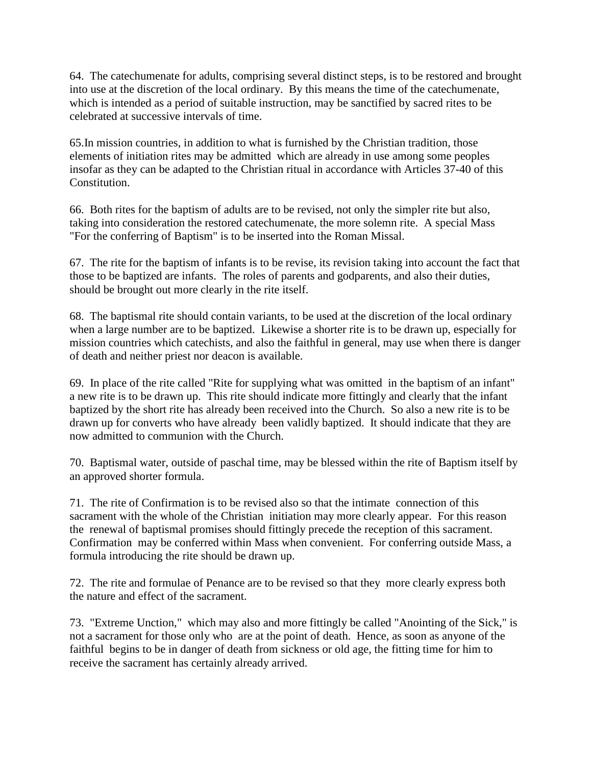64. The catechumenate for adults, comprising several distinct steps, is to be restored and brought into use at the discretion of the local ordinary. By this means the time of the catechumenate, which is intended as a period of suitable instruction, may be sanctified by sacred rites to be celebrated at successive intervals of time.

65.In mission countries, in addition to what is furnished by the Christian tradition, those elements of initiation rites may be admitted which are already in use among some peoples insofar as they can be adapted to the Christian ritual in accordance with Articles 37-40 of this Constitution.

66. Both rites for the baptism of adults are to be revised, not only the simpler rite but also, taking into consideration the restored catechumenate, the more solemn rite. A special Mass "For the conferring of Baptism" is to be inserted into the Roman Missal.

67. The rite for the baptism of infants is to be revise, its revision taking into account the fact that those to be baptized are infants. The roles of parents and godparents, and also their duties, should be brought out more clearly in the rite itself.

68. The baptismal rite should contain variants, to be used at the discretion of the local ordinary when a large number are to be baptized. Likewise a shorter rite is to be drawn up, especially for mission countries which catechists, and also the faithful in general, may use when there is danger of death and neither priest nor deacon is available.

69. In place of the rite called "Rite for supplying what was omitted in the baptism of an infant" a new rite is to be drawn up. This rite should indicate more fittingly and clearly that the infant baptized by the short rite has already been received into the Church. So also a new rite is to be drawn up for converts who have already been validly baptized. It should indicate that they are now admitted to communion with the Church.

70. Baptismal water, outside of paschal time, may be blessed within the rite of Baptism itself by an approved shorter formula.

71. The rite of Confirmation is to be revised also so that the intimate connection of this sacrament with the whole of the Christian initiation may more clearly appear. For this reason the renewal of baptismal promises should fittingly precede the reception of this sacrament. Confirmation may be conferred within Mass when convenient. For conferring outside Mass, a formula introducing the rite should be drawn up.

72. The rite and formulae of Penance are to be revised so that they more clearly express both the nature and effect of the sacrament.

73. "Extreme Unction," which may also and more fittingly be called "Anointing of the Sick," is not a sacrament for those only who are at the point of death. Hence, as soon as anyone of the faithful begins to be in danger of death from sickness or old age, the fitting time for him to receive the sacrament has certainly already arrived.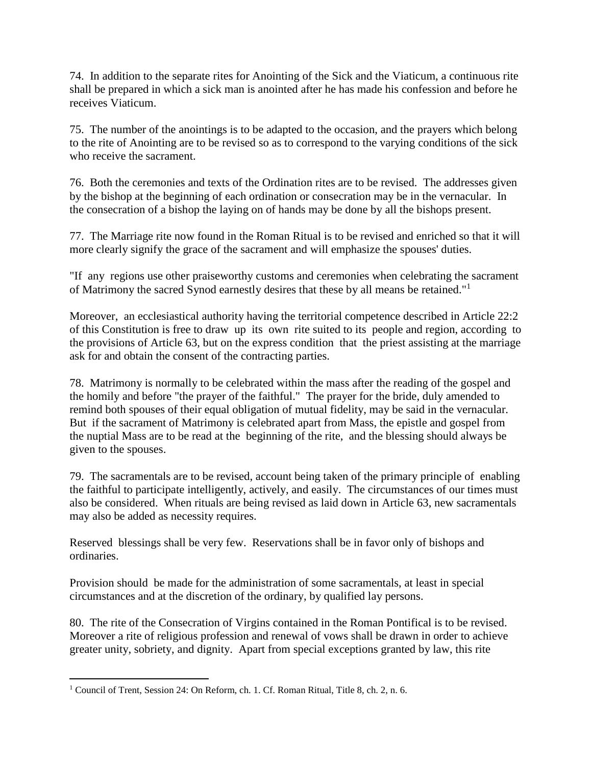74. In addition to the separate rites for Anointing of the Sick and the Viaticum, a continuous rite shall be prepared in which a sick man is anointed after he has made his confession and before he receives Viaticum.

75. The number of the anointings is to be adapted to the occasion, and the prayers which belong to the rite of Anointing are to be revised so as to correspond to the varying conditions of the sick who receive the sacrament.

76. Both the ceremonies and texts of the Ordination rites are to be revised. The addresses given by the bishop at the beginning of each ordination or consecration may be in the vernacular. In the consecration of a bishop the laying on of hands may be done by all the bishops present.

77. The Marriage rite now found in the Roman Ritual is to be revised and enriched so that it will more clearly signify the grace of the sacrament and will emphasize the spouses' duties.

"If any regions use other praiseworthy customs and ceremonies when celebrating the sacrament of Matrimony the sacred Synod earnestly desires that these by all means be retained."<sup>1</sup>

Moreover, an ecclesiastical authority having the territorial competence described in Article 22:2 of this Constitution is free to draw up its own rite suited to its people and region, according to the provisions of Article 63, but on the express condition that the priest assisting at the marriage ask for and obtain the consent of the contracting parties.

78. Matrimony is normally to be celebrated within the mass after the reading of the gospel and the homily and before "the prayer of the faithful." The prayer for the bride, duly amended to remind both spouses of their equal obligation of mutual fidelity, may be said in the vernacular. But if the sacrament of Matrimony is celebrated apart from Mass, the epistle and gospel from the nuptial Mass are to be read at the beginning of the rite, and the blessing should always be given to the spouses.

79. The sacramentals are to be revised, account being taken of the primary principle of enabling the faithful to participate intelligently, actively, and easily. The circumstances of our times must also be considered. When rituals are being revised as laid down in Article 63, new sacramentals may also be added as necessity requires.

Reserved blessings shall be very few. Reservations shall be in favor only of bishops and ordinaries.

Provision should be made for the administration of some sacramentals, at least in special circumstances and at the discretion of the ordinary, by qualified lay persons.

80. The rite of the Consecration of Virgins contained in the Roman Pontifical is to be revised. Moreover a rite of religious profession and renewal of vows shall be drawn in order to achieve greater unity, sobriety, and dignity. Apart from special exceptions granted by law, this rite

 $\overline{a}$ <sup>1</sup> Council of Trent, Session 24: On Reform, ch. 1. Cf. Roman Ritual, Title 8, ch. 2, n. 6.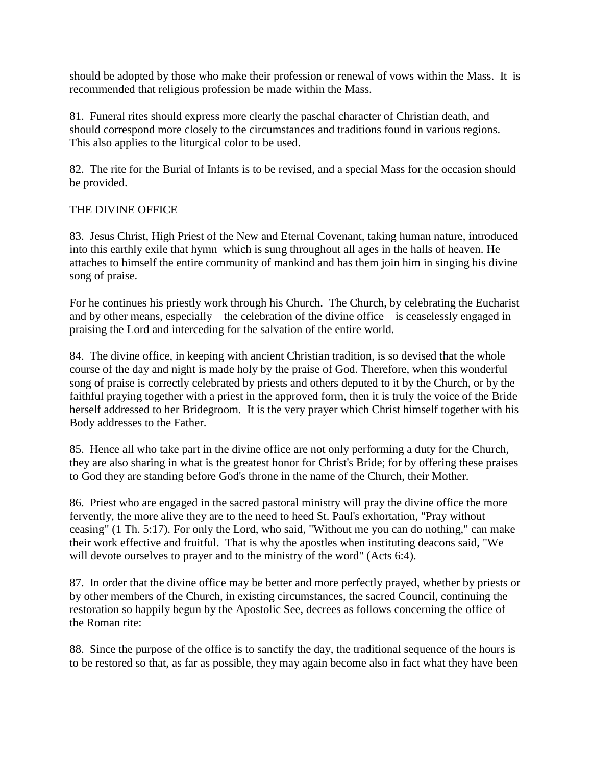should be adopted by those who make their profession or renewal of vows within the Mass. It is recommended that religious profession be made within the Mass.

81. Funeral rites should express more clearly the paschal character of Christian death, and should correspond more closely to the circumstances and traditions found in various regions. This also applies to the liturgical color to be used.

82. The rite for the Burial of Infants is to be revised, and a special Mass for the occasion should be provided.

#### THE DIVINE OFFICE

83. Jesus Christ, High Priest of the New and Eternal Covenant, taking human nature, introduced into this earthly exile that hymn which is sung throughout all ages in the halls of heaven. He attaches to himself the entire community of mankind and has them join him in singing his divine song of praise.

For he continues his priestly work through his Church. The Church, by celebrating the Eucharist and by other means, especially—the celebration of the divine office—is ceaselessly engaged in praising the Lord and interceding for the salvation of the entire world.

84. The divine office, in keeping with ancient Christian tradition, is so devised that the whole course of the day and night is made holy by the praise of God. Therefore, when this wonderful song of praise is correctly celebrated by priests and others deputed to it by the Church, or by the faithful praying together with a priest in the approved form, then it is truly the voice of the Bride herself addressed to her Bridegroom. It is the very prayer which Christ himself together with his Body addresses to the Father.

85. Hence all who take part in the divine office are not only performing a duty for the Church, they are also sharing in what is the greatest honor for Christ's Bride; for by offering these praises to God they are standing before God's throne in the name of the Church, their Mother.

86. Priest who are engaged in the sacred pastoral ministry will pray the divine office the more fervently, the more alive they are to the need to heed St. Paul's exhortation, "Pray without ceasing" (1 Th. 5:17). For only the Lord, who said, "Without me you can do nothing," can make their work effective and fruitful. That is why the apostles when instituting deacons said, "We will devote ourselves to prayer and to the ministry of the word" (Acts 6:4).

87. In order that the divine office may be better and more perfectly prayed, whether by priests or by other members of the Church, in existing circumstances, the sacred Council, continuing the restoration so happily begun by the Apostolic See, decrees as follows concerning the office of the Roman rite:

88. Since the purpose of the office is to sanctify the day, the traditional sequence of the hours is to be restored so that, as far as possible, they may again become also in fact what they have been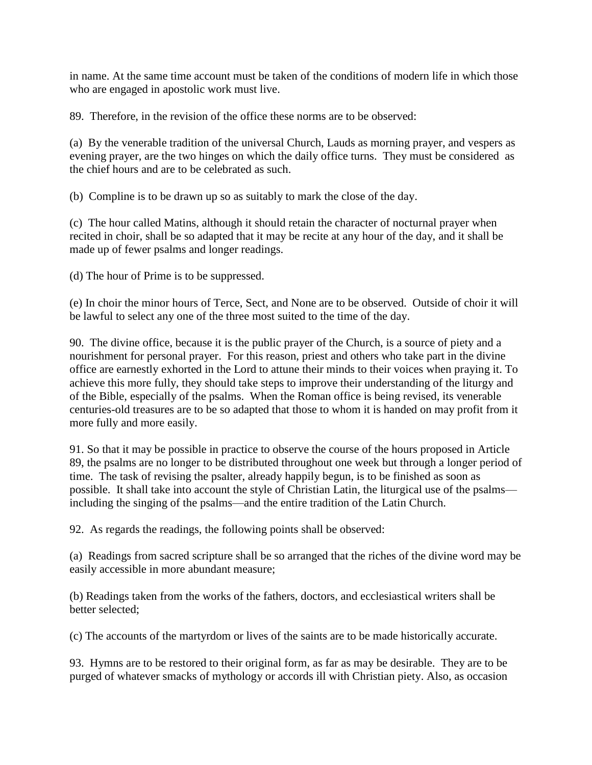in name. At the same time account must be taken of the conditions of modern life in which those who are engaged in apostolic work must live.

89. Therefore, in the revision of the office these norms are to be observed:

(a) By the venerable tradition of the universal Church, Lauds as morning prayer, and vespers as evening prayer, are the two hinges on which the daily office turns. They must be considered as the chief hours and are to be celebrated as such.

(b) Compline is to be drawn up so as suitably to mark the close of the day.

(c) The hour called Matins, although it should retain the character of nocturnal prayer when recited in choir, shall be so adapted that it may be recite at any hour of the day, and it shall be made up of fewer psalms and longer readings.

(d) The hour of Prime is to be suppressed.

(e) In choir the minor hours of Terce, Sect, and None are to be observed. Outside of choir it will be lawful to select any one of the three most suited to the time of the day.

90. The divine office, because it is the public prayer of the Church, is a source of piety and a nourishment for personal prayer. For this reason, priest and others who take part in the divine office are earnestly exhorted in the Lord to attune their minds to their voices when praying it. To achieve this more fully, they should take steps to improve their understanding of the liturgy and of the Bible, especially of the psalms. When the Roman office is being revised, its venerable centuries-old treasures are to be so adapted that those to whom it is handed on may profit from it more fully and more easily.

91. So that it may be possible in practice to observe the course of the hours proposed in Article 89, the psalms are no longer to be distributed throughout one week but through a longer period of time. The task of revising the psalter, already happily begun, is to be finished as soon as possible. It shall take into account the style of Christian Latin, the liturgical use of the psalms including the singing of the psalms—and the entire tradition of the Latin Church.

92. As regards the readings, the following points shall be observed:

(a) Readings from sacred scripture shall be so arranged that the riches of the divine word may be easily accessible in more abundant measure;

(b) Readings taken from the works of the fathers, doctors, and ecclesiastical writers shall be better selected;

(c) The accounts of the martyrdom or lives of the saints are to be made historically accurate.

93. Hymns are to be restored to their original form, as far as may be desirable. They are to be purged of whatever smacks of mythology or accords ill with Christian piety. Also, as occasion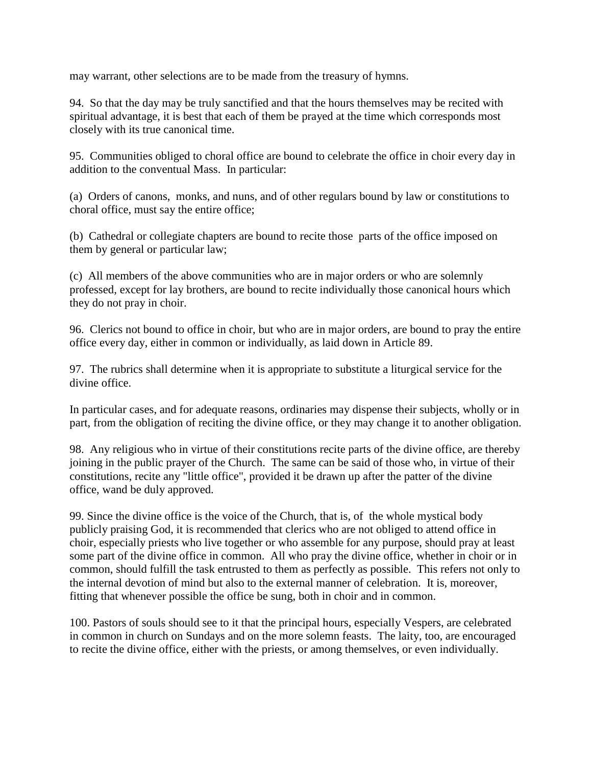may warrant, other selections are to be made from the treasury of hymns.

94. So that the day may be truly sanctified and that the hours themselves may be recited with spiritual advantage, it is best that each of them be prayed at the time which corresponds most closely with its true canonical time.

95. Communities obliged to choral office are bound to celebrate the office in choir every day in addition to the conventual Mass. In particular:

(a) Orders of canons, monks, and nuns, and of other regulars bound by law or constitutions to choral office, must say the entire office;

(b) Cathedral or collegiate chapters are bound to recite those parts of the office imposed on them by general or particular law;

(c) All members of the above communities who are in major orders or who are solemnly professed, except for lay brothers, are bound to recite individually those canonical hours which they do not pray in choir.

96. Clerics not bound to office in choir, but who are in major orders, are bound to pray the entire office every day, either in common or individually, as laid down in Article 89.

97. The rubrics shall determine when it is appropriate to substitute a liturgical service for the divine office.

In particular cases, and for adequate reasons, ordinaries may dispense their subjects, wholly or in part, from the obligation of reciting the divine office, or they may change it to another obligation.

98. Any religious who in virtue of their constitutions recite parts of the divine office, are thereby joining in the public prayer of the Church. The same can be said of those who, in virtue of their constitutions, recite any "little office", provided it be drawn up after the patter of the divine office, wand be duly approved.

99. Since the divine office is the voice of the Church, that is, of the whole mystical body publicly praising God, it is recommended that clerics who are not obliged to attend office in choir, especially priests who live together or who assemble for any purpose, should pray at least some part of the divine office in common. All who pray the divine office, whether in choir or in common, should fulfill the task entrusted to them as perfectly as possible. This refers not only to the internal devotion of mind but also to the external manner of celebration. It is, moreover, fitting that whenever possible the office be sung, both in choir and in common.

100. Pastors of souls should see to it that the principal hours, especially Vespers, are celebrated in common in church on Sundays and on the more solemn feasts. The laity, too, are encouraged to recite the divine office, either with the priests, or among themselves, or even individually.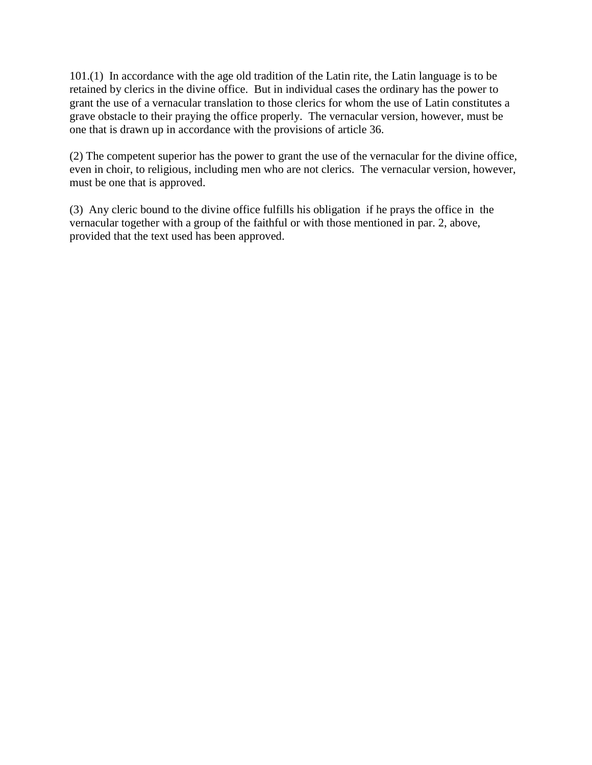101.(1) In accordance with the age old tradition of the Latin rite, the Latin language is to be retained by clerics in the divine office. But in individual cases the ordinary has the power to grant the use of a vernacular translation to those clerics for whom the use of Latin constitutes a grave obstacle to their praying the office properly. The vernacular version, however, must be one that is drawn up in accordance with the provisions of article 36.

(2) The competent superior has the power to grant the use of the vernacular for the divine office, even in choir, to religious, including men who are not clerics. The vernacular version, however, must be one that is approved.

(3) Any cleric bound to the divine office fulfills his obligation if he prays the office in the vernacular together with a group of the faithful or with those mentioned in par. 2, above, provided that the text used has been approved.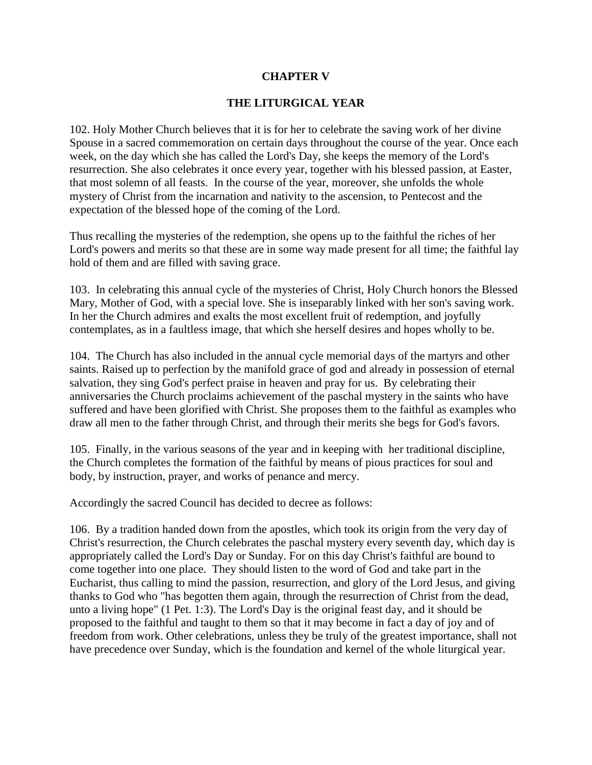#### **CHAPTER V**

#### **THE LITURGICAL YEAR**

102. Holy Mother Church believes that it is for her to celebrate the saving work of her divine Spouse in a sacred commemoration on certain days throughout the course of the year. Once each week, on the day which she has called the Lord's Day, she keeps the memory of the Lord's resurrection. She also celebrates it once every year, together with his blessed passion, at Easter, that most solemn of all feasts. In the course of the year, moreover, she unfolds the whole mystery of Christ from the incarnation and nativity to the ascension, to Pentecost and the expectation of the blessed hope of the coming of the Lord.

Thus recalling the mysteries of the redemption, she opens up to the faithful the riches of her Lord's powers and merits so that these are in some way made present for all time; the faithful lay hold of them and are filled with saving grace.

103. In celebrating this annual cycle of the mysteries of Christ, Holy Church honors the Blessed Mary, Mother of God, with a special love. She is inseparably linked with her son's saving work. In her the Church admires and exalts the most excellent fruit of redemption, and joyfully contemplates, as in a faultless image, that which she herself desires and hopes wholly to be.

104. The Church has also included in the annual cycle memorial days of the martyrs and other saints. Raised up to perfection by the manifold grace of god and already in possession of eternal salvation, they sing God's perfect praise in heaven and pray for us. By celebrating their anniversaries the Church proclaims achievement of the paschal mystery in the saints who have suffered and have been glorified with Christ. She proposes them to the faithful as examples who draw all men to the father through Christ, and through their merits she begs for God's favors.

105. Finally, in the various seasons of the year and in keeping with her traditional discipline, the Church completes the formation of the faithful by means of pious practices for soul and body, by instruction, prayer, and works of penance and mercy.

Accordingly the sacred Council has decided to decree as follows:

106. By a tradition handed down from the apostles, which took its origin from the very day of Christ's resurrection, the Church celebrates the paschal mystery every seventh day, which day is appropriately called the Lord's Day or Sunday. For on this day Christ's faithful are bound to come together into one place. They should listen to the word of God and take part in the Eucharist, thus calling to mind the passion, resurrection, and glory of the Lord Jesus, and giving thanks to God who "has begotten them again, through the resurrection of Christ from the dead, unto a living hope" (1 Pet. 1:3). The Lord's Day is the original feast day, and it should be proposed to the faithful and taught to them so that it may become in fact a day of joy and of freedom from work. Other celebrations, unless they be truly of the greatest importance, shall not have precedence over Sunday, which is the foundation and kernel of the whole liturgical year.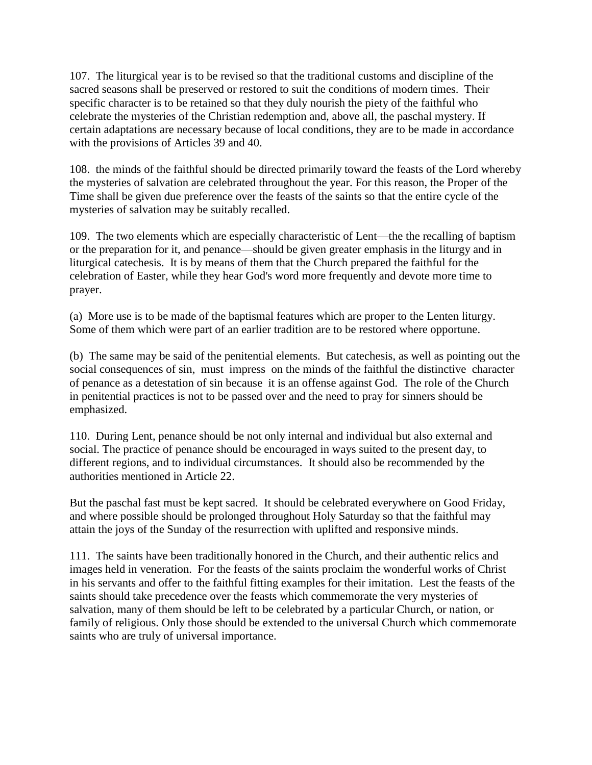107. The liturgical year is to be revised so that the traditional customs and discipline of the sacred seasons shall be preserved or restored to suit the conditions of modern times. Their specific character is to be retained so that they duly nourish the piety of the faithful who celebrate the mysteries of the Christian redemption and, above all, the paschal mystery. If certain adaptations are necessary because of local conditions, they are to be made in accordance with the provisions of Articles 39 and 40.

108. the minds of the faithful should be directed primarily toward the feasts of the Lord whereby the mysteries of salvation are celebrated throughout the year. For this reason, the Proper of the Time shall be given due preference over the feasts of the saints so that the entire cycle of the mysteries of salvation may be suitably recalled.

109. The two elements which are especially characteristic of Lent—the the recalling of baptism or the preparation for it, and penance—should be given greater emphasis in the liturgy and in liturgical catechesis. It is by means of them that the Church prepared the faithful for the celebration of Easter, while they hear God's word more frequently and devote more time to prayer.

(a) More use is to be made of the baptismal features which are proper to the Lenten liturgy. Some of them which were part of an earlier tradition are to be restored where opportune.

(b) The same may be said of the penitential elements. But catechesis, as well as pointing out the social consequences of sin, must impress on the minds of the faithful the distinctive character of penance as a detestation of sin because it is an offense against God. The role of the Church in penitential practices is not to be passed over and the need to pray for sinners should be emphasized.

110. During Lent, penance should be not only internal and individual but also external and social. The practice of penance should be encouraged in ways suited to the present day, to different regions, and to individual circumstances. It should also be recommended by the authorities mentioned in Article 22.

But the paschal fast must be kept sacred. It should be celebrated everywhere on Good Friday, and where possible should be prolonged throughout Holy Saturday so that the faithful may attain the joys of the Sunday of the resurrection with uplifted and responsive minds.

111. The saints have been traditionally honored in the Church, and their authentic relics and images held in veneration. For the feasts of the saints proclaim the wonderful works of Christ in his servants and offer to the faithful fitting examples for their imitation. Lest the feasts of the saints should take precedence over the feasts which commemorate the very mysteries of salvation, many of them should be left to be celebrated by a particular Church, or nation, or family of religious. Only those should be extended to the universal Church which commemorate saints who are truly of universal importance.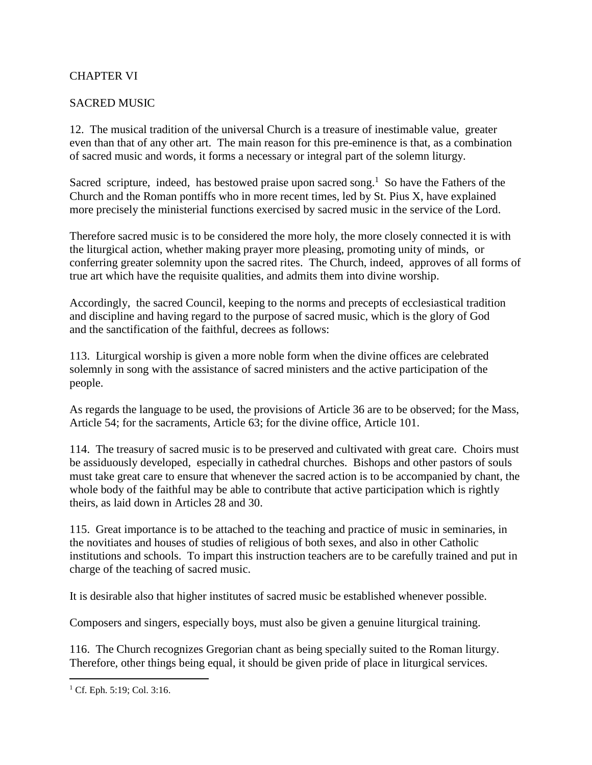#### CHAPTER VI

#### SACRED MUSIC

12. The musical tradition of the universal Church is a treasure of inestimable value, greater even than that of any other art. The main reason for this pre-eminence is that, as a combination of sacred music and words, it forms a necessary or integral part of the solemn liturgy.

Sacred scripture, indeed, has bestowed praise upon sacred song.<sup>1</sup> So have the Fathers of the Church and the Roman pontiffs who in more recent times, led by St. Pius X, have explained more precisely the ministerial functions exercised by sacred music in the service of the Lord.

Therefore sacred music is to be considered the more holy, the more closely connected it is with the liturgical action, whether making prayer more pleasing, promoting unity of minds, or conferring greater solemnity upon the sacred rites. The Church, indeed, approves of all forms of true art which have the requisite qualities, and admits them into divine worship.

Accordingly, the sacred Council, keeping to the norms and precepts of ecclesiastical tradition and discipline and having regard to the purpose of sacred music, which is the glory of God and the sanctification of the faithful, decrees as follows:

113. Liturgical worship is given a more noble form when the divine offices are celebrated solemnly in song with the assistance of sacred ministers and the active participation of the people.

As regards the language to be used, the provisions of Article 36 are to be observed; for the Mass, Article 54; for the sacraments, Article 63; for the divine office, Article 101.

114. The treasury of sacred music is to be preserved and cultivated with great care. Choirs must be assiduously developed, especially in cathedral churches. Bishops and other pastors of souls must take great care to ensure that whenever the sacred action is to be accompanied by chant, the whole body of the faithful may be able to contribute that active participation which is rightly theirs, as laid down in Articles 28 and 30.

115. Great importance is to be attached to the teaching and practice of music in seminaries, in the novitiates and houses of studies of religious of both sexes, and also in other Catholic institutions and schools. To impart this instruction teachers are to be carefully trained and put in charge of the teaching of sacred music.

It is desirable also that higher institutes of sacred music be established whenever possible.

Composers and singers, especially boys, must also be given a genuine liturgical training.

116. The Church recognizes Gregorian chant as being specially suited to the Roman liturgy. Therefore, other things being equal, it should be given pride of place in liturgical services.

 $1^1$  Cf. Eph. 5:19; Col. 3:16.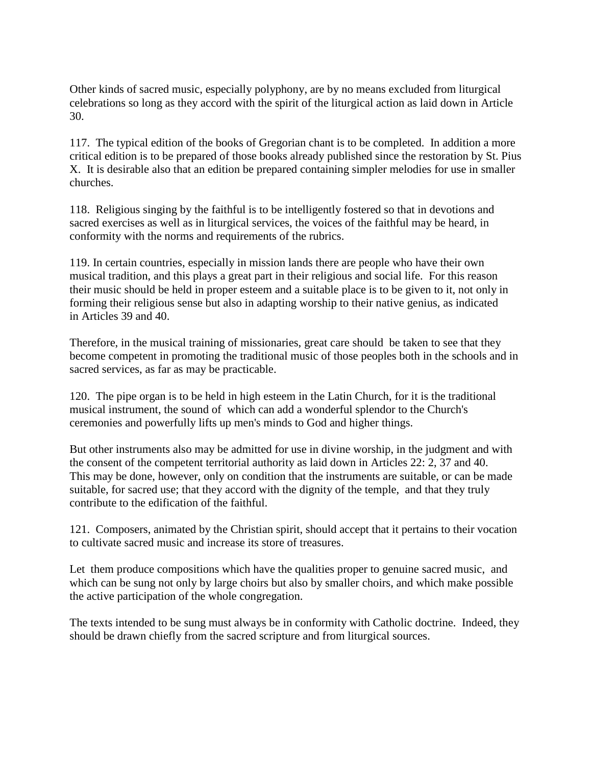Other kinds of sacred music, especially polyphony, are by no means excluded from liturgical celebrations so long as they accord with the spirit of the liturgical action as laid down in Article 30.

117. The typical edition of the books of Gregorian chant is to be completed. In addition a more critical edition is to be prepared of those books already published since the restoration by St. Pius X. It is desirable also that an edition be prepared containing simpler melodies for use in smaller churches.

118. Religious singing by the faithful is to be intelligently fostered so that in devotions and sacred exercises as well as in liturgical services, the voices of the faithful may be heard, in conformity with the norms and requirements of the rubrics.

119. In certain countries, especially in mission lands there are people who have their own musical tradition, and this plays a great part in their religious and social life. For this reason their music should be held in proper esteem and a suitable place is to be given to it, not only in forming their religious sense but also in adapting worship to their native genius, as indicated in Articles 39 and 40.

Therefore, in the musical training of missionaries, great care should be taken to see that they become competent in promoting the traditional music of those peoples both in the schools and in sacred services, as far as may be practicable.

120. The pipe organ is to be held in high esteem in the Latin Church, for it is the traditional musical instrument, the sound of which can add a wonderful splendor to the Church's ceremonies and powerfully lifts up men's minds to God and higher things.

But other instruments also may be admitted for use in divine worship, in the judgment and with the consent of the competent territorial authority as laid down in Articles 22: 2, 37 and 40. This may be done, however, only on condition that the instruments are suitable, or can be made suitable, for sacred use; that they accord with the dignity of the temple, and that they truly contribute to the edification of the faithful.

121. Composers, animated by the Christian spirit, should accept that it pertains to their vocation to cultivate sacred music and increase its store of treasures.

Let them produce compositions which have the qualities proper to genuine sacred music, and which can be sung not only by large choirs but also by smaller choirs, and which make possible the active participation of the whole congregation.

The texts intended to be sung must always be in conformity with Catholic doctrine. Indeed, they should be drawn chiefly from the sacred scripture and from liturgical sources.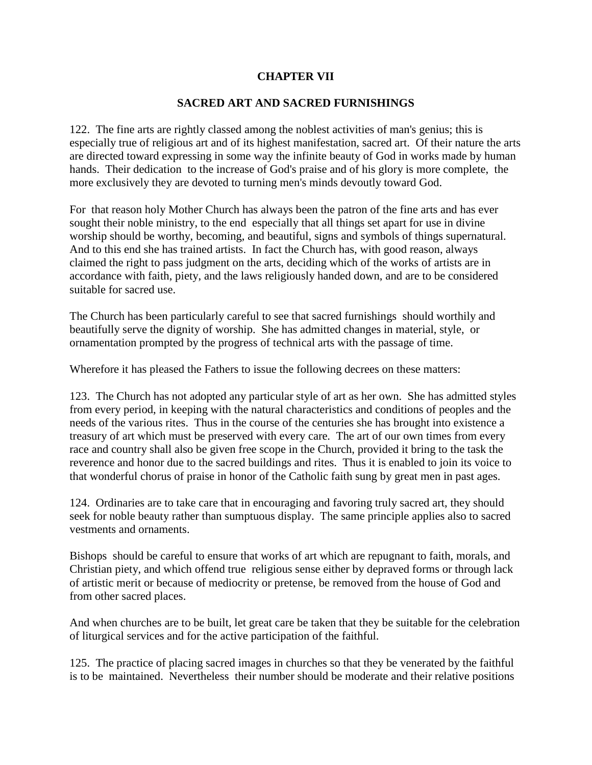#### **CHAPTER VII**

#### **SACRED ART AND SACRED FURNISHINGS**

122. The fine arts are rightly classed among the noblest activities of man's genius; this is especially true of religious art and of its highest manifestation, sacred art. Of their nature the arts are directed toward expressing in some way the infinite beauty of God in works made by human hands. Their dedication to the increase of God's praise and of his glory is more complete, the more exclusively they are devoted to turning men's minds devoutly toward God.

For that reason holy Mother Church has always been the patron of the fine arts and has ever sought their noble ministry, to the end especially that all things set apart for use in divine worship should be worthy, becoming, and beautiful, signs and symbols of things supernatural. And to this end she has trained artists. In fact the Church has, with good reason, always claimed the right to pass judgment on the arts, deciding which of the works of artists are in accordance with faith, piety, and the laws religiously handed down, and are to be considered suitable for sacred use.

The Church has been particularly careful to see that sacred furnishings should worthily and beautifully serve the dignity of worship. She has admitted changes in material, style, or ornamentation prompted by the progress of technical arts with the passage of time.

Wherefore it has pleased the Fathers to issue the following decrees on these matters:

123. The Church has not adopted any particular style of art as her own. She has admitted styles from every period, in keeping with the natural characteristics and conditions of peoples and the needs of the various rites. Thus in the course of the centuries she has brought into existence a treasury of art which must be preserved with every care. The art of our own times from every race and country shall also be given free scope in the Church, provided it bring to the task the reverence and honor due to the sacred buildings and rites. Thus it is enabled to join its voice to that wonderful chorus of praise in honor of the Catholic faith sung by great men in past ages.

124. Ordinaries are to take care that in encouraging and favoring truly sacred art, they should seek for noble beauty rather than sumptuous display. The same principle applies also to sacred vestments and ornaments.

Bishops should be careful to ensure that works of art which are repugnant to faith, morals, and Christian piety, and which offend true religious sense either by depraved forms or through lack of artistic merit or because of mediocrity or pretense, be removed from the house of God and from other sacred places.

And when churches are to be built, let great care be taken that they be suitable for the celebration of liturgical services and for the active participation of the faithful.

125. The practice of placing sacred images in churches so that they be venerated by the faithful is to be maintained. Nevertheless their number should be moderate and their relative positions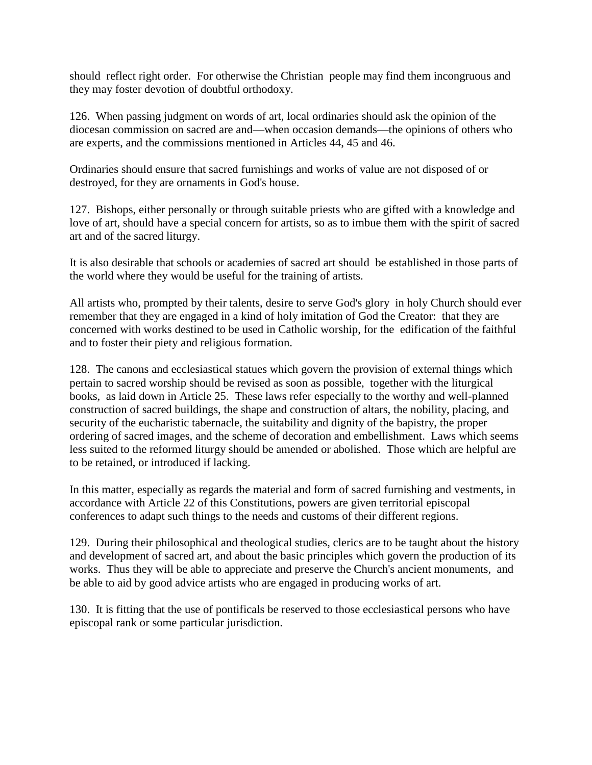should reflect right order. For otherwise the Christian people may find them incongruous and they may foster devotion of doubtful orthodoxy.

126. When passing judgment on words of art, local ordinaries should ask the opinion of the diocesan commission on sacred are and—when occasion demands—the opinions of others who are experts, and the commissions mentioned in Articles 44, 45 and 46.

Ordinaries should ensure that sacred furnishings and works of value are not disposed of or destroyed, for they are ornaments in God's house.

127. Bishops, either personally or through suitable priests who are gifted with a knowledge and love of art, should have a special concern for artists, so as to imbue them with the spirit of sacred art and of the sacred liturgy.

It is also desirable that schools or academies of sacred art should be established in those parts of the world where they would be useful for the training of artists.

All artists who, prompted by their talents, desire to serve God's glory in holy Church should ever remember that they are engaged in a kind of holy imitation of God the Creator: that they are concerned with works destined to be used in Catholic worship, for the edification of the faithful and to foster their piety and religious formation.

128. The canons and ecclesiastical statues which govern the provision of external things which pertain to sacred worship should be revised as soon as possible, together with the liturgical books, as laid down in Article 25. These laws refer especially to the worthy and well-planned construction of sacred buildings, the shape and construction of altars, the nobility, placing, and security of the eucharistic tabernacle, the suitability and dignity of the bapistry, the proper ordering of sacred images, and the scheme of decoration and embellishment. Laws which seems less suited to the reformed liturgy should be amended or abolished. Those which are helpful are to be retained, or introduced if lacking.

In this matter, especially as regards the material and form of sacred furnishing and vestments, in accordance with Article 22 of this Constitutions, powers are given territorial episcopal conferences to adapt such things to the needs and customs of their different regions.

129. During their philosophical and theological studies, clerics are to be taught about the history and development of sacred art, and about the basic principles which govern the production of its works. Thus they will be able to appreciate and preserve the Church's ancient monuments, and be able to aid by good advice artists who are engaged in producing works of art.

130. It is fitting that the use of pontificals be reserved to those ecclesiastical persons who have episcopal rank or some particular jurisdiction.